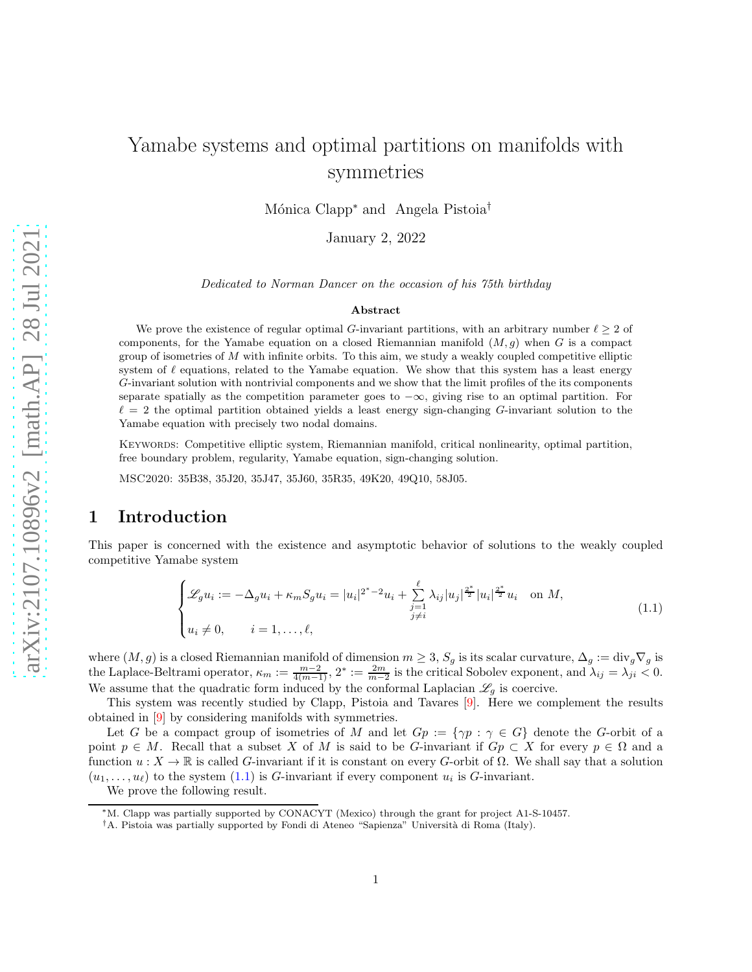# Yamabe systems and optimal partitions on manifolds with symmetries

Mónica Clapp<sup>∗</sup> and Angela Pistoia<sup>†</sup>

January 2, 2022

Dedicated to Norman Dancer on the occasion of his 75th birthday

#### Abstract

We prove the existence of regular optimal G-invariant partitions, with an arbitrary number  $\ell \geq 2$  of components, for the Yamabe equation on a closed Riemannian manifold  $(M, g)$  when G is a compact group of isometries of  $M$  with infinite orbits. To this aim, we study a weakly coupled competitive elliptic system of  $\ell$  equations, related to the Yamabe equation. We show that this system has a least energy G-invariant solution with nontrivial components and we show that the limit profiles of the its components separate spatially as the competition parameter goes to  $-\infty$ , giving rise to an optimal partition. For  $\ell = 2$  the optimal partition obtained yields a least energy sign-changing G-invariant solution to the Yamabe equation with precisely two nodal domains.

Keywords: Competitive elliptic system, Riemannian manifold, critical nonlinearity, optimal partition, free boundary problem, regularity, Yamabe equation, sign-changing solution.

MSC2020: 35B38, 35J20, 35J47, 35J60, 35R35, 49K20, 49Q10, 58J05.

#### 1 Introduction

This paper is concerned with the existence and asymptotic behavior of solutions to the weakly coupled competitive Yamabe system

<span id="page-0-0"></span>
$$
\begin{cases}\n\mathcal{L}_g u_i := -\Delta_g u_i + \kappa_m S_g u_i = |u_i|^{2^*-2} u_i + \sum_{\substack{j=1 \ j \neq i}}^{\ell} \lambda_{ij} |u_j|^{\frac{2^*}{2}} |u_i|^{\frac{2^*}{2}} u_i \quad \text{on } M, \\
u_i \neq 0, \qquad i = 1, \dots, \ell,\n\end{cases} \tag{1.1}
$$

where  $(M, g)$  is a closed Riemannian manifold of dimension  $m \geq 3$ ,  $S_g$  is its scalar curvature,  $\Delta_g := \text{div}_g \nabla_g$  is the Laplace-Beltrami operator,  $\kappa_m := \frac{m-2}{4(m-1)}$ ,  $2^* := \frac{2m}{m-2}$  is the critical Sobolev exponent, and  $\lambda_{ij} = \lambda_{ji} < 0$ . We assume that the quadratic form induced by the conformal Laplacian  $\mathscr{L}_g$  is coercive.

This system was recently studied by Clapp, Pistoia and Tavares [\[9\]](#page-10-0). Here we complement the results obtained in [\[9\]](#page-10-0) by considering manifolds with symmetries.

Let G be a compact group of isometries of M and let  $G_p := \{ \gamma p : \gamma \in G \}$  denote the G-orbit of a point  $p \in M$ . Recall that a subset X of M is said to be G-invariant if  $Gp \subset X$  for every  $p \in \Omega$  and a function  $u : X \to \mathbb{R}$  is called G-invariant if it is constant on every G-orbit of  $\Omega$ . We shall say that a solution  $(u_1, \ldots, u_\ell)$  to the system  $(1.1)$  is G-invariant if every component  $u_i$  is G-invariant.

We prove the following result.

<sup>∗</sup>M. Clapp was partially supported by CONACYT (Mexico) through the grant for project A1-S-10457.

<sup>&</sup>lt;sup>†</sup>A. Pistoia was partially supported by Fondi di Ateneo "Sapienza" Università di Roma (Italy).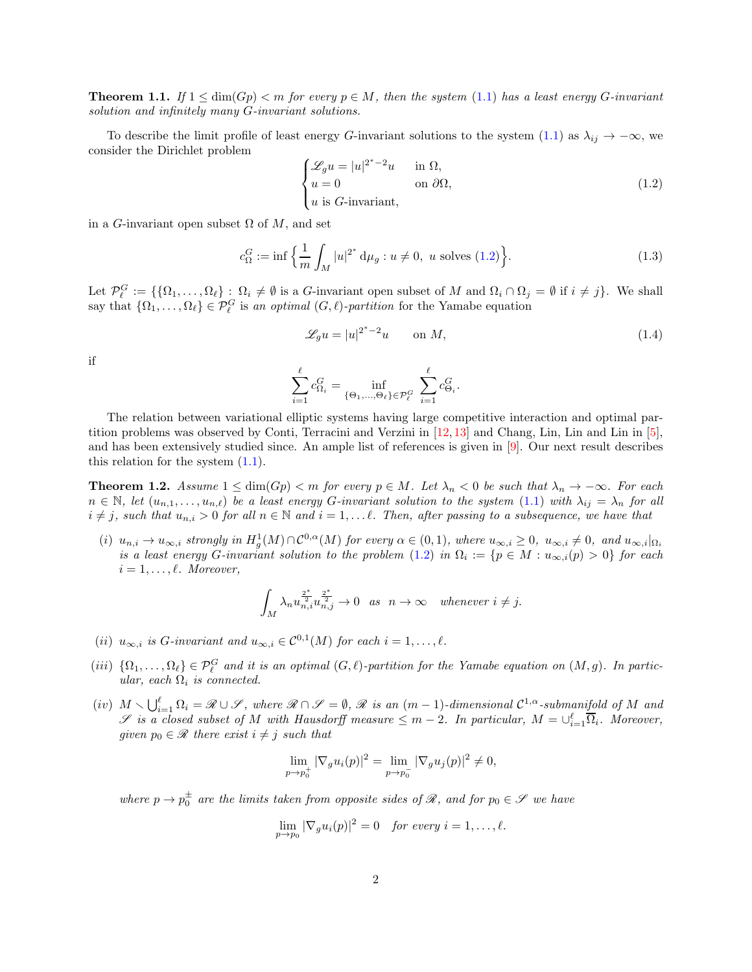<span id="page-1-3"></span>**Theorem 1.1.** If  $1 \leq \dim(Gp) \leq m$  for every  $p \in M$ , then the system [\(1.1\)](#page-0-0) has a least energy G-invariant solution and infinitely many G-invariant solutions.

To describe the limit profile of least energy G-invariant solutions to the system [\(1.1\)](#page-0-0) as  $\lambda_{ij} \to -\infty$ , we consider the Dirichlet problem

<span id="page-1-0"></span>
$$
\begin{cases} \mathcal{L}_{g}u = |u|^{2^{*}-2}u & \text{in } \Omega, \\ u = 0 & \text{on } \partial\Omega, \\ u \text{ is } G\text{-invariant,} \end{cases}
$$
 (1.2)

in a G-invariant open subset  $\Omega$  of M, and set

<span id="page-1-4"></span>
$$
c_{\Omega}^{G} := \inf \left\{ \frac{1}{m} \int_{M} |u|^{2^{*}} \, \mathrm{d}\mu_{g} : u \neq 0, \ u \text{ solves (1.2)} \right\}.
$$
 (1.3)

Let  $\mathcal{P}_{\ell}^G := \{ \{ \Omega_1, \ldots, \Omega_{\ell} \} : \Omega_i \neq \emptyset \text{ is a } G\text{-invariant open subset of } M \text{ and } \Omega_i \cap \Omega_j = \emptyset \text{ if } i \neq j \}.$  We shall say that  $\{\Omega_1,\ldots,\Omega_\ell\} \in \mathcal{P}_\ell^G$  is an optimal  $(G,\ell)$ -partition for the Yamabe equation

<span id="page-1-1"></span>
$$
\mathcal{L}_{g}u = |u|^{2^{*}-2}u \qquad \text{on } M,
$$
\n(1.4)

if

$$
\sum_{i=1}^{\ell} c_{\Omega_i}^G = \inf_{\{\Theta_1,\dots,\Theta_{\ell}\} \in \mathcal{P}_{\ell}^G} \sum_{i=1}^{\ell} c_{\Theta_i}^G.
$$

The relation between variational elliptic systems having large competitive interaction and optimal partition problems was observed by Conti, Terracini and Verzini in [\[12,](#page-10-1) [13\]](#page-10-2) and Chang, Lin, Lin and Lin in [\[5\]](#page-9-0), and has been extensively studied since. An ample list of references is given in [\[9\]](#page-10-0). Our next result describes this relation for the system  $(1.1)$ .

<span id="page-1-2"></span>**Theorem 1.2.** Assume  $1 \leq \dim(Gp) < m$  for every  $p \in M$ . Let  $\lambda_n < 0$  be such that  $\lambda_n \to -\infty$ . For each  $n \in \mathbb{N}$ , let  $(u_{n,1},...,u_{n,\ell})$  be a least energy G-invariant solution to the system [\(1.1\)](#page-0-0) with  $\lambda_{ij} = \lambda_n$  for all  $i \neq j$ , such that  $u_{n,i} > 0$  for all  $n \in \mathbb{N}$  and  $i = 1, \ldots \ell$ . Then, after passing to a subsequence, we have that

(i)  $u_{n,i} \to u_{\infty,i}$  strongly in  $H_g^1(M) \cap \mathcal{C}^{0,\alpha}(M)$  for every  $\alpha \in (0,1)$ , where  $u_{\infty,i} \geq 0$ ,  $u_{\infty,i} \neq 0$ , and  $u_{\infty,i}|_{\Omega_i}$ is a least energy G-invariant solution to the problem  $(1.2)$  in  $\Omega_i := \{p \in M : u_{\infty,i}(p) > 0\}$  for each  $i = 1, \ldots, \ell$ . Moreover,

$$
\int_M \lambda_n u_{n,i}^{\frac{2^*}{2}} u_{n,j}^{\frac{2^*}{2}} \to 0 \quad as \quad n \to \infty \quad whenever \ i \neq j.
$$

- (ii)  $u_{\infty,i}$  is G-invariant and  $u_{\infty,i} \in \mathcal{C}^{0,1}(M)$  for each  $i = 1, \ldots, \ell$ .
- (iii)  $\{\Omega_1,\ldots,\Omega_\ell\} \in \mathcal{P}_\ell^G$  and it is an optimal  $(G,\ell)$ -partition for the Yamabe equation on  $(M,g)$ . In particular, each  $\Omega_i$  is connected.
- $(iv)$   $M \setminus \bigcup_{i=1}^{\ell} \Omega_i = \mathscr{R} \cup \mathscr{S}$ , where  $\mathscr{R} \cap \mathscr{S} = \emptyset$ ,  $\mathscr{R}$  is an  $(m-1)$ -dimensional  $\mathcal{C}^{1,\alpha}$ -submanifold of M and  $\mathscr S$  is a closed subset of M with Hausdorff measure  $\leq m-2$ . In particular,  $M=\cup_{i=1}^{\ell} \overline{\Omega}_i$ . Moreover, given  $p_0 \in \mathcal{R}$  there exist  $i \neq j$  such that

$$
\lim_{p \to p_0^+} |\nabla_g u_i(p)|^2 = \lim_{p \to p_0^-} |\nabla_g u_j(p)|^2 \neq 0,
$$

where  $p \to p_0^{\pm}$  are the limits taken from opposite sides of  $\mathscr{R}$ , and for  $p_0 \in \mathscr{S}$  we have

$$
\lim_{p \to p_0} |\nabla_g u_i(p)|^2 = 0 \quad \text{for every } i = 1, \dots, \ell.
$$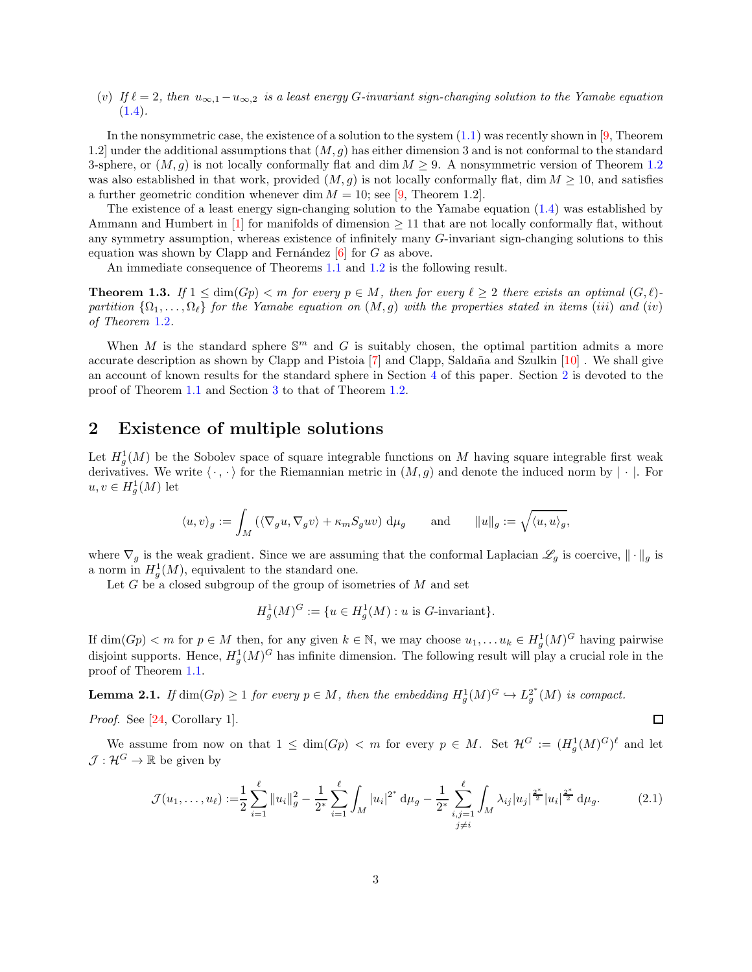(v) If  $\ell = 2$ , then  $u_{\infty,1} - u_{\infty,2}$  is a least energy G-invariant sign-changing solution to the Yamabe equation  $(1.4).$  $(1.4).$ 

In the nonsymmetric case, the existence of a solution to the system  $(1.1)$  was recently shown in [\[9,](#page-10-0) Theorem 1.2] under the additional assumptions that  $(M, g)$  has either dimension 3 and is not conformal to the standard 3-sphere, or  $(M, g)$  is not locally conformally flat and dim  $M \geq 9$ . A nonsymmetric version of Theorem [1.2](#page-1-2) was also established in that work, provided  $(M, g)$  is not locally conformally flat, dim  $M \ge 10$ , and satisfies a further geometric condition whenever dim  $M = 10$ ; see [\[9,](#page-10-0) Theorem 1.2].

The existence of a least energy sign-changing solution to the Yamabe equation [\(1.4\)](#page-1-1) was established by Ammann and Humbert in [\[1\]](#page-9-1) for manifolds of dimension  $\geq 11$  that are not locally conformally flat, without any symmetry assumption, whereas existence of infinitely many G-invariant sign-changing solutions to this equation was shown by Clapp and Fernández  $[6]$  for G as above.

An immediate consequence of Theorems [1.1](#page-1-3) and [1.2](#page-1-2) is the following result.

**Theorem 1.3.** If  $1 \leq \dim(Gp) < m$  for every  $p \in M$ , then for every  $\ell \geq 2$  there exists an optimal  $(G, \ell)$ partition  $\{\Omega_1,\ldots,\Omega_\ell\}$  for the Yamabe equation on  $(M,g)$  with the properties stated in items (iii) and (iv) of Theorem [1.2](#page-1-2).

When M is the standard sphere  $\mathbb{S}^m$  and G is suitably chosen, the optimal partition admits a more accurate description as shown by Clapp and Pistoia  $[7]$  and Clapp, Saldaña and Szulkin  $[10]$ . We shall give an account of known results for the standard sphere in Section [4](#page-7-0) of this paper. Section [2](#page-2-0) is devoted to the proof of Theorem [1.1](#page-1-3) and Section [3](#page-5-0) to that of Theorem [1.2.](#page-1-2)

# <span id="page-2-0"></span>2 Existence of multiple solutions

Let  $H_g^1(M)$  be the Sobolev space of square integrable functions on M having square integrable first weak derivatives. We write  $\langle \cdot, \cdot \rangle$  for the Riemannian metric in  $(M, g)$  and denote the induced norm by  $|\cdot|$ . For  $u, v \in H_g^1(M)$  let

$$
\langle u, v \rangle_g := \int_M \left( \langle \nabla_g u, \nabla_g v \rangle + \kappa_m S_g u v \right) d\mu_g \quad \text{and} \quad \|u\|_g := \sqrt{\langle u, u \rangle_g},
$$

where  $\nabla_g$  is the weak gradient. Since we are assuming that the conformal Laplacian  $\mathscr{L}_g$  is coercive,  $\|\cdot\|_g$  is a norm in  $H_g^1(M)$ , equivalent to the standard one.

Let  $G$  be a closed subgroup of the group of isometries of  $M$  and set

$$
H_g^1(M)^G := \{ u \in H_g^1(M) : u \text{ is } G\text{-invariant} \}.
$$

If  $\dim(Gp) < m$  for  $p \in M$  then, for any given  $k \in \mathbb{N}$ , we may choose  $u_1, \ldots, u_k \in H^1_g(M)^G$  having pairwise disjoint supports. Hence,  $H_g^1(M)^G$  has infinite dimension. The following result will play a crucial role in the proof of Theorem [1.1.](#page-1-3)

<span id="page-2-1"></span>**Lemma 2.1.** If  $\dim(Gp) \geq 1$  for every  $p \in M$ , then the embedding  $H_g^1(M)^G \hookrightarrow L_g^{2^*}$  $_{g}^{2^{*}}(M)$  is compact.

Proof. See [\[24,](#page-10-4) Corollary 1].

We assume from now on that  $1 \le \dim(Gp) < m$  for every  $p \in M$ . Set  $\mathcal{H}^G := (H_g^1(M)^G)^{\ell}$  and let  $\mathcal{J}: \mathcal{H}^G \to \mathbb{R}$  be given by

$$
\mathcal{J}(u_1,\ldots,u_\ell) := \frac{1}{2} \sum_{i=1}^\ell \|u_i\|_g^2 - \frac{1}{2^*} \sum_{i=1}^\ell \int_M |u_i|^{2^*} \, \mathrm{d}\mu_g - \frac{1}{2^*} \sum_{\substack{i,j=1 \ j \neq i}}^\ell \int_M \lambda_{ij} |u_j|^{2^*} |u_i|^{2^*} \, \mathrm{d}\mu_g. \tag{2.1}
$$

<span id="page-2-2"></span> $\Box$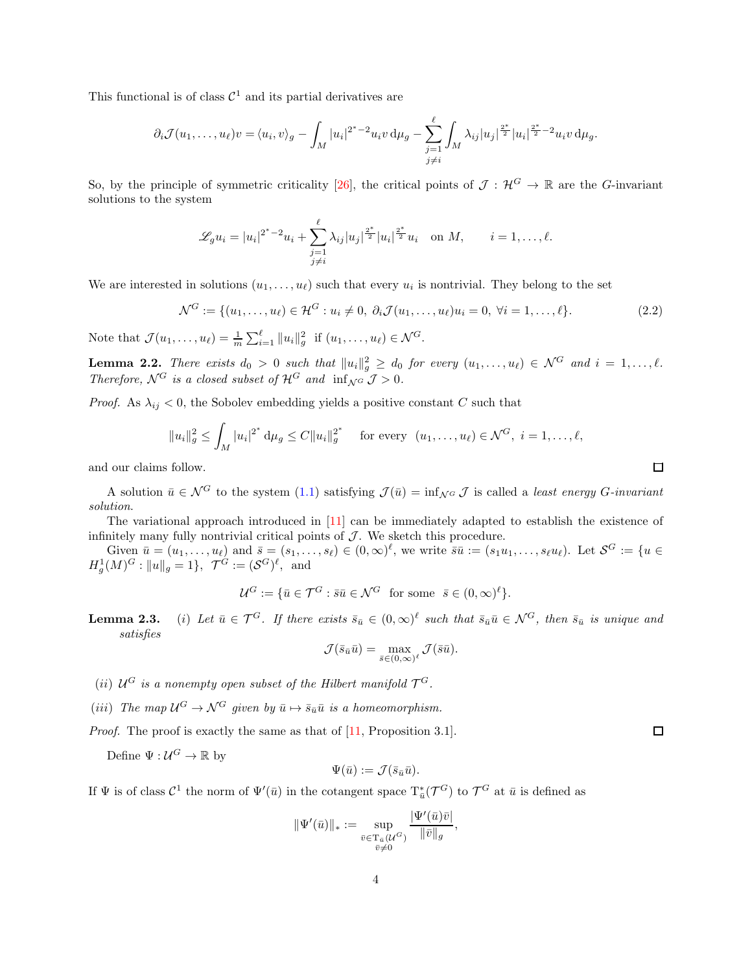This functional is of class  $\mathcal{C}^1$  and its partial derivatives are

$$
\partial_i \mathcal{J}(u_1,\ldots,u_\ell)v = \langle u_i,v\rangle_g - \int_M |u_i|^{2^*-2}u_iv \, \mathrm{d}\mu_g - \sum_{\substack{j=1 \ j \neq i}}^{\ell} \int_M \lambda_{ij} |u_j|^{\frac{2^*}{2}} |u_i|^{\frac{2^*-2}{2}} u_iv \, \mathrm{d}\mu_g.
$$

So, by the principle of symmetric criticality [\[26\]](#page-10-5), the critical points of  $\mathcal{J} : \mathcal{H}^G \to \mathbb{R}$  are the G-invariant solutions to the system

$$
\mathscr{L}_g u_i = |u_i|^{2^*-2} u_i + \sum_{\substack{j=1 \ j \neq i}}^{\ell} \lambda_{ij} |u_j|^{\frac{2^*}{2}} |u_i|^{\frac{2^*}{2}} u_i \quad \text{on } M, \qquad i = 1, \dots, \ell.
$$

We are interested in solutions  $(u_1, \ldots, u_\ell)$  such that every  $u_i$  is nontrivial. They belong to the set

<span id="page-3-0"></span>
$$
\mathcal{N}^G := \{ (u_1, \dots, u_\ell) \in \mathcal{H}^G : u_i \neq 0, \ \partial_i \mathcal{J}(u_1, \dots, u_\ell) u_i = 0, \ \forall i = 1, \dots, \ell \}. \tag{2.2}
$$

Note that  $\mathcal{J}(u_1,\ldots,u_\ell) = \frac{1}{m} \sum_{i=1}^\ell ||u_i||_g^2$  if  $(u_1,\ldots,u_\ell) \in \mathcal{N}^G$ .

<span id="page-3-1"></span>**Lemma 2.2.** There exists  $d_0 > 0$  such that  $||u_i||_g^2 \ge d_0$  for every  $(u_1, \ldots, u_\ell) \in \mathcal{N}^G$  and  $i = 1, \ldots, \ell$ . Therefore,  $\mathcal{N}^G$  is a closed subset of  $\mathcal{H}^G$  and  $\inf_{\mathcal{N}^G} \mathcal{J} > 0$ .

*Proof.* As  $\lambda_{ij} < 0$ , the Sobolev embedding yields a positive constant C such that

$$
||u_i||_g^2 \le \int_M |u_i|^{2^*} d\mu_g \le C ||u_i||_g^{2^*}
$$
 for every  $(u_1, ..., u_\ell) \in \mathcal{N}^G$ ,  $i = 1, ..., \ell$ ,

and our claims follow.

A solution  $\bar{u} \in \mathcal{N}^G$  to the system [\(1.1\)](#page-0-0) satisfying  $\mathcal{J}(\bar{u}) = \inf_{\mathcal{N}^G} \mathcal{J}$  is called a least energy G-invariant solution.

The variational approach introduced in [\[11\]](#page-10-6) can be immediately adapted to establish the existence of infinitely many fully nontrivial critical points of  $\mathcal J$ . We sketch this procedure.

Given  $\bar{u} = (u_1, \ldots, u_\ell)$  and  $\bar{s} = (s_1, \ldots, s_\ell) \in (0, \infty)^\ell$ , we write  $\bar{s}\bar{u} := (s_1u_1, \ldots, s_\ell u_\ell)$ . Let  $\mathcal{S}^G := \{u \in$  $H_g^1(M)^G: ||u||_g = 1$ ,  $\mathcal{T}^G := (\mathcal{S}^G)^{\ell}$ , and

$$
\mathcal{U}^G := \{ \bar{u} \in \mathcal{T}^G : \bar{s}\bar{u} \in \mathcal{N}^G \text{ for some } \bar{s} \in (0, \infty)^{\ell} \}.
$$

**Lemma 2.3.** (i) Let  $\bar{u} \in \mathcal{T}^G$ . If there exists  $\bar{s}_{\bar{u}} \in (0,\infty)^{\ell}$  such that  $\bar{s}_{\bar{u}}\bar{u} \in \mathcal{N}^G$ , then  $\bar{s}_{\bar{u}}$  is unique and satisfies

$$
\mathcal{J}(\bar{s}_{\bar{u}}\bar{u}) = \max_{\bar{s}\in(0,\infty)^{\ell}} \mathcal{J}(\bar{s}\bar{u}).
$$

- (ii)  $\mathcal{U}^G$  is a nonempty open subset of the Hilbert manifold  $\mathcal{T}^G$ .
- (iii) The map  $\mathcal{U}^G \to \mathcal{N}^G$  given by  $\bar{u} \mapsto \bar{s}_{\bar{u}}\bar{u}$  is a homeomorphism.

Proof. The proof is exactly the same as that of [\[11,](#page-10-6) Proposition 3.1].

Define  $\Psi: \mathcal{U}^G \to \mathbb{R}$  by

$$
\Psi(\bar u):=\mathcal{J}(\bar s_{\bar u}\bar u).
$$

If  $\Psi$  is of class  $\mathcal{C}^1$  the norm of  $\Psi'(\bar{u})$  in the cotangent space  $T^*_{\bar{u}}(\mathcal{T}^G)$  to  $\mathcal{T}^G$  at  $\bar{u}$  is defined as

$$
\|\Psi'(\bar{u})\|_{*} := \sup_{\substack{\bar{v} \in \mathrm{T}_{\bar{u}}(\mathcal{U}^{G}) \\ \bar{v} \neq 0}} \frac{|\Psi'(\bar{u})\bar{v}|}{\|\bar{v}\|_{g}},
$$

 $\Box$ 

 $\Box$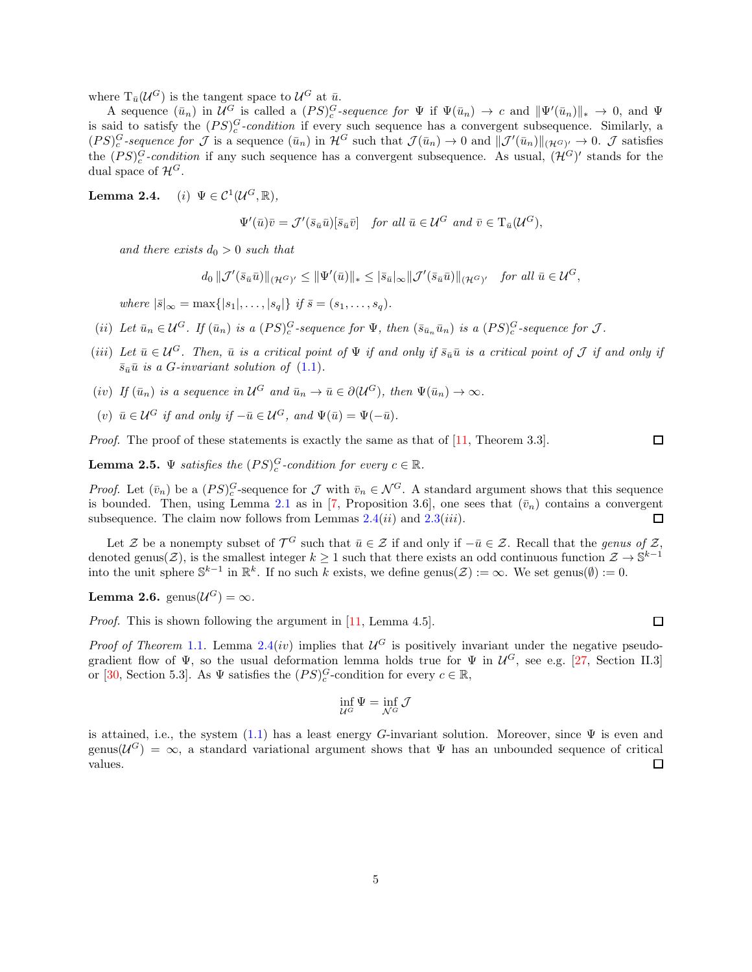where  $T_{\bar{u}}(\mathcal{U}^G)$  is the tangent space to  $\mathcal{U}^G$  at  $\bar{u}$ .

A sequence  $(\bar{u}_n)$  in  $\mathcal{U}^G$  is called a  $(PS)_{c}^G$ -sequence for  $\Psi$  if  $\Psi(\bar{u}_n) \to c$  and  $\|\Psi'(\bar{u}_n)\|_{*} \to 0$ , and  $\Psi$ is said to satisfy the  $(PS)<sub>c</sub><sup>G</sup>$ -condition if every such sequence has a convergent subsequence. Similarly, a  $(PS)_{c}^{G}$ -sequence for  $\mathcal J$  is a sequence  $(\bar u_n)$  in  $\mathcal H^G$  such that  $\mathcal J(\bar u_n) \to 0$  and  $\|\mathcal J'(\bar u_n)\|_{(\mathcal H^G)^{\prime}} \to 0$ .  $\mathcal J$  satisfies the  $(PS)_{c}^{G}$ -condition if any such sequence has a convergent subsequence. As usual,  $(\mathcal{H}^{G})'$  stands for the dual space of  $\mathcal{H}^G$ .

**Lemma 2.4.** (*i*)  $\Psi \in C^1(\mathcal{U}^G,\mathbb{R}),$ 

$$
\Psi'(\bar{u})\bar{v} = \mathcal{J}'(\bar{s}_{\bar{u}}\bar{u})[\bar{s}_{\bar{u}}\bar{v}] \quad \text{for all } \bar{u} \in \mathcal{U}^G \text{ and } \bar{v} \in \mathrm{T}_{\bar{u}}(\mathcal{U}^G),
$$

and there exists  $d_0 > 0$  such that

$$
d_0 \|\mathcal{J}'(\bar{s}_{\bar{u}}\bar{u})\|_{(\mathcal{H}^G)'} \le \|\Psi'(\bar{u})\|_{*} \le |\bar{s}_{\bar{u}}|_{\infty} \|\mathcal{J}'(\bar{s}_{\bar{u}}\bar{u})\|_{(\mathcal{H}^G)'} \quad \text{for all } \bar{u} \in \mathcal{U}^G,
$$

where  $|\bar{s}|_{\infty} = \max\{|s_1|, \ldots, |s_g|\}$  if  $\bar{s} = (s_1, \ldots, s_g)$ .

- (ii) Let  $\bar{u}_n \in \mathcal{U}^G$ . If  $(\bar{u}_n)$  is a  $(PS)_{c}^G$ -sequence for  $\Psi$ , then  $(\bar{s}_{\bar{u}_n}\bar{u}_n)$  is a  $(PS)_{c}^G$ -sequence for  $\mathcal{J}$ .
- (iii) Let  $\bar{u} \in \mathcal{U}^G$ . Then,  $\bar{u}$  is a critical point of  $\Psi$  if and only if  $\bar{s}_{\bar{u}}\bar{u}$  is a critical point of  $\mathcal J$  if and only if  $\bar{s}_{\bar{u}}\bar{u}$  is a G-invariant solution of  $(1.1)$ .
- (iv) If  $(\bar{u}_n)$  is a sequence in  $\mathcal{U}^G$  and  $\bar{u}_n \to \bar{u} \in \partial(\mathcal{U}^G)$ , then  $\Psi(\bar{u}_n) \to \infty$ .
- (v)  $\bar{u} \in \mathcal{U}^G$  if and only if  $-\bar{u} \in \mathcal{U}^G$ , and  $\Psi(\bar{u}) = \Psi(-\bar{u})$ .

*Proof.* The proof of these statements is exactly the same as that of [\[11,](#page-10-6) Theorem 3.3].

**Lemma 2.5.**  $\Psi$  satisfies the  $(PS)_{c}^{G}$ -condition for every  $c \in \mathbb{R}$ .

*Proof.* Let  $(\bar{v}_n)$  be a  $(PS)_{c}^G$ -sequence for  $\mathcal{J}$  with  $\bar{v}_n \in \mathcal{N}^G$ . A standard argument shows that this sequence is bounded. Then, using Lemma [2.1](#page-2-1) as in [\[7,](#page-9-3) Proposition 3.6], one sees that  $(\bar{v}_n)$  contains a convergent subsequence. The claim now follows from Lemmas  $2.4(ii)$  and  $2.3(iii)$ .  $\Box$ 

Let Z be a nonempty subset of  $\mathcal{T}^G$  such that  $\bar{u} \in \mathcal{Z}$  if and only if  $-\bar{u} \in \mathcal{Z}$ . Recall that the *genus of* Z, denoted genus( $\mathcal{Z}$ ), is the smallest integer  $k \geq 1$  such that there exists an odd continuous function  $\mathcal{Z} \to \mathbb{S}^{k-1}$ into the unit sphere  $\mathbb{S}^{k-1}$  in  $\mathbb{R}^k$ . If no such k exists, we define genus( $\mathcal{Z}$ ) :=  $\infty$ . We set genus( $\emptyset$ ) := 0.

**Lemma 2.6.** genus $(\mathcal{U}^G) = \infty$ .

Proof. This is shown following the argument in [\[11,](#page-10-6) Lemma 4.5].

*Proof of Theorem* [1.1](#page-1-3). Lemma 2.4(*iv*) implies that  $U^G$  is positively invariant under the negative pseudogradient flow of  $\Psi$ , so the usual deformation lemma holds true for  $\Psi$  in  $\mathcal{U}^G$ , see e.g. [\[27,](#page-10-7) Section II.3] or [\[30,](#page-11-0) Section 5.3]. As  $\Psi$  satisfies the  $(PS)<sup>G</sup><sub>c</sub>$ -condition for every  $c \in \mathbb{R}$ ,

$$
\inf_{\mathcal{U}^G} \Psi = \inf_{\mathcal{N}^G} \mathcal{J}
$$

is attained, i.e., the system  $(1.1)$  has a least energy G-invariant solution. Moreover, since  $\Psi$  is even and genus( $\mathcal{U}^G$ ) =  $\infty$ , a standard variational argument shows that  $\Psi$  has an unbounded sequence of critical values.  $\Box$ 

 $\Box$ 

 $\Box$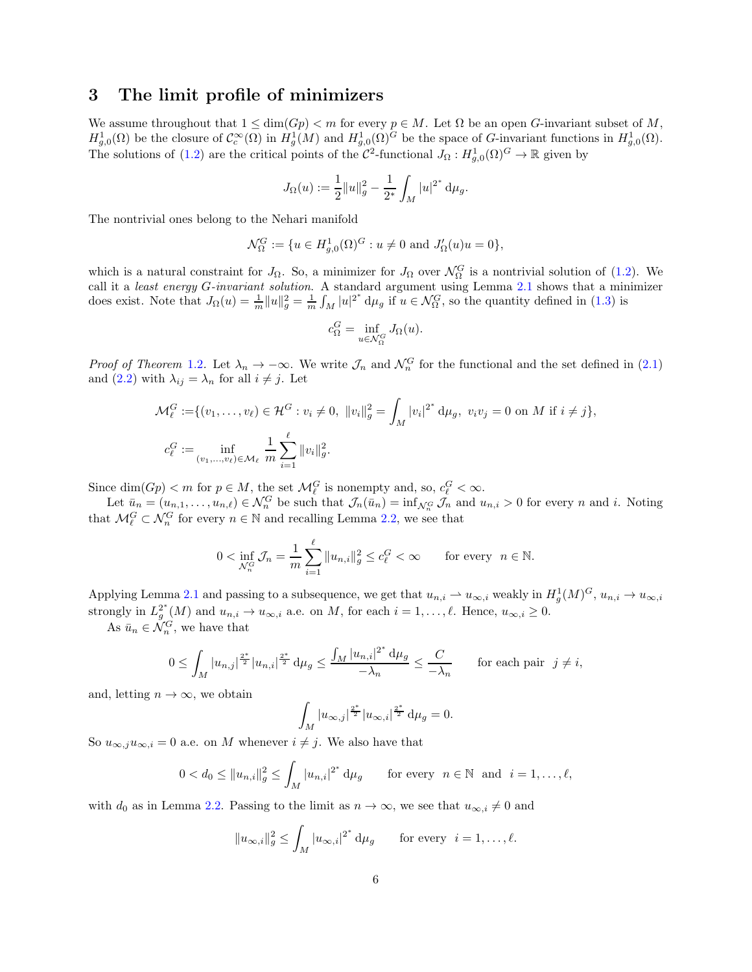## <span id="page-5-0"></span>3 The limit profile of minimizers

We assume throughout that  $1 \le \dim(Gp) < m$  for every  $p \in M$ . Let  $\Omega$  be an open G-invariant subset of M,  $H^1_{g,0}(\Omega)$  be the closure of  $\mathcal{C}^{\infty}_c(\Omega)$  in  $H^1_g(M)$  and  $H^1_{g,0}(\Omega)^G$  be the space of G-invariant functions in  $H^1_{g,0}(\Omega)$ . The solutions of [\(1.2\)](#page-1-0) are the critical points of the  $C^2$ -functional  $J_{\Omega}: H^1_{g,0}(\Omega)^G \to \mathbb{R}$  given by

$$
J_{\Omega}(u):=\frac{1}{2}\|u\|_g^2-\frac{1}{2^*}\int_M |u|^{2^*}\,\mathrm{d}\mu_g.
$$

The nontrivial ones belong to the Nehari manifold

$$
\mathcal{N}_{\Omega}^{G} := \{ u \in H_{g,0}^{1}(\Omega)^{G} : u \neq 0 \text{ and } J_{\Omega}'(u)u = 0 \},
$$

which is a natural constraint for  $J_{\Omega}$ . So, a minimizer for  $J_{\Omega}$  over  $\mathcal{N}_{\Omega}^G$  is a nontrivial solution of [\(1.2\)](#page-1-0). We call it a least energy G-invariant solution. A standard argument using Lemma [2.1](#page-2-1) shows that a minimizer does exist. Note that  $J_{\Omega}(u) = \frac{1}{m} ||u||_g^2 = \frac{1}{m} \int_M |u|^{2^*} d\mu_g$  if  $u \in \mathcal{N}_{\Omega}^G$ , so the quantity defined in [\(1.3\)](#page-1-4) is

$$
c_{\Omega}^G=\inf_{u\in \mathcal{N}_{\Omega}^G}J_{\Omega}(u).
$$

*Proof of Theorem* [1.2](#page-1-2). Let  $\lambda_n \to -\infty$ . We write  $\mathcal{J}_n$  and  $\mathcal{N}_n^G$  for the functional and the set defined in [\(2.1\)](#page-2-2) and [\(2.2\)](#page-3-0) with  $\lambda_{ij} = \lambda_n$  for all  $i \neq j$ . Let

$$
\mathcal{M}_{\ell}^{G} := \{ (v_1, \dots, v_{\ell}) \in \mathcal{H}^{G} : v_i \neq 0, \ \|v_i\|_{g}^{2} = \int_{M} |v_i|^{2^*} d\mu_{g}, \ v_i v_j = 0 \text{ on } M \text{ if } i \neq j \},
$$
  

$$
c_{\ell}^{G} := \inf_{(v_1, \dots, v_{\ell}) \in \mathcal{M}_{\ell}} \frac{1}{m} \sum_{i=1}^{\ell} \|v_i\|_{g}^{2}.
$$

Since  $\dim(Gp) < m$  for  $p \in M$ , the set  $\mathcal{M}_{\ell}^G$  is nonempty and, so,  $c_{\ell}^G < \infty$ .

Let  $\bar{u}_n = (u_{n,1}, \ldots, u_{n,\ell}) \in \mathcal{N}_n^G$  be such that  $\mathcal{J}_n(\bar{u}_n) = \inf_{\mathcal{N}_n^G} \mathcal{J}_n$  and  $u_{n,i} > 0$  for every n and i. Noting that  $\mathcal{M}_{\ell}^G \subset \mathcal{N}_n^G$  for every  $n \in \mathbb{N}$  and recalling Lemma [2.2,](#page-3-1) we see that

$$
0 < \inf_{\mathcal{N}_n^G} \mathcal{J}_n = \frac{1}{m} \sum_{i=1}^{\ell} \|u_{n,i}\|_g^2 \le c_{\ell}^G < \infty \qquad \text{for every} \ \ n \in \mathbb{N}.
$$

Applying Lemma [2.1](#page-2-1) and passing to a subsequence, we get that  $u_{n,i} \to u_{\infty,i}$  weakly in  $H_g^1(M)^G$ ,  $u_{n,i} \to u_{\infty,i}$ strongly in  $L_a^{2^*}$  $g^{2^*}(M)$  and  $u_{n,i} \to u_{\infty,i}$  a.e. on M, for each  $i = 1, \ldots, \ell$ . Hence,  $u_{\infty,i} \geq 0$ .

As  $\bar{u}_n \in \mathcal{N}_n^G$ , we have that

$$
0 \leq \int_M |u_{n,j}|^{\frac{2^*}{2}} |u_{n,i}|^{\frac{2^*}{2}} \, d\mu_g \leq \frac{\int_M |u_{n,i}|^{2^*} \, d\mu_g}{-\lambda_n} \leq \frac{C}{-\lambda_n} \qquad \text{for each pair } j \neq i,
$$

and, letting  $n \to \infty$ , we obtain

$$
\int_M |u_{\infty,j}|^{\frac{2^*}{2}} |u_{\infty,i}|^{\frac{2^*}{2}} d\mu_g = 0.
$$

So  $u_{\infty,i}u_{\infty,i} = 0$  a.e. on M whenever  $i \neq j$ . We also have that

$$
0 < d_0 \le \|u_{n,i}\|_g^2 \le \int_M |u_{n,i}|^{2^*} \, \mathrm{d}\mu_g \qquad \text{for every} \ \ n \in \mathbb{N} \ \ \text{and} \ \ i = 1, \dots, \ell,
$$

with  $d_0$  as in Lemma [2.2.](#page-3-1) Passing to the limit as  $n \to \infty$ , we see that  $u_{\infty,i} \neq 0$  and

$$
||u_{\infty,i}||_g^2 \le \int_M |u_{\infty,i}|^{2^*} d\mu_g \quad \text{for every } i = 1,\dots,\ell.
$$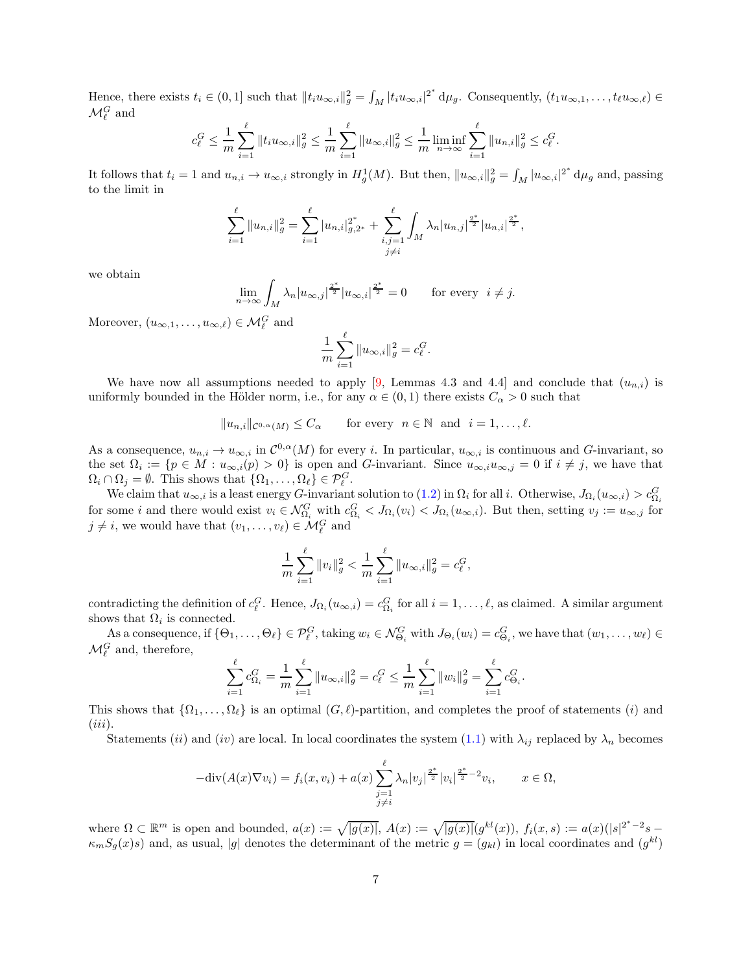Hence, there exists  $t_i \in (0,1]$  such that  $||t_i u_{\infty,i}||_g^2 = \int_M |t_i u_{\infty,i}|^{2^*} d\mu_g$ . Consequently,  $(t_1 u_{\infty,1}, \ldots, t_\ell u_{\infty,\ell}) \in$  $\mathcal{M}_{\ell}^G$  and

$$
c_{\ell}^G \leq \frac{1}{m} \sum_{i=1}^{\ell} \|t_i u_{\infty,i}\|_{g}^2 \leq \frac{1}{m} \sum_{i=1}^{\ell} \|u_{\infty,i}\|_{g}^2 \leq \frac{1}{m} \liminf_{n \to \infty} \sum_{i=1}^{\ell} \|u_{n,i}\|_{g}^2 \leq c_{\ell}^G.
$$

It follows that  $t_i = 1$  and  $u_{n,i} \to u_{\infty,i}$  strongly in  $H_g^1(M)$ . But then,  $||u_{\infty,i}||_g^2 = \int_M |u_{\infty,i}|^{2^*} d\mu_g$  and, passing to the limit in

$$
\sum_{i=1}^{\ell} ||u_{n,i}||_g^2 = \sum_{i=1}^{\ell} |u_{n,i}|_{g,2^*}^{2^*} + \sum_{\substack{i,j=1 \ j \neq i}}^{\ell} \int_M \lambda_n |u_{n,j}|^{\frac{2^*}{2}} |u_{n,i}|^{\frac{2^*}{2}},
$$

we obtain

$$
\lim_{n \to \infty} \int_M \lambda_n |u_{\infty,j}|^{\frac{2^*}{2}} |u_{\infty,i}|^{\frac{2^*}{2}} = 0 \quad \text{for every } i \neq j.
$$

Moreover,  $(u_{\infty,1},\ldots,u_{\infty,\ell})\in\mathcal{M}_{\ell}^G$  and

$$
\frac{1}{m}\sum_{i=1}^{\ell}\|u_{\infty,i}\|_g^2=c_{\ell}^G
$$

.

We have now all assumptions needed to apply [\[9,](#page-10-0) Lemmas 4.3 and 4.4] and conclude that  $(u_{n,i})$  is uniformly bounded in the Hölder norm, i.e., for any  $\alpha \in (0,1)$  there exists  $C_{\alpha} > 0$  such that

$$
||u_{n,i}||_{\mathcal{C}^{0,\alpha}(M)} \leq C_{\alpha}
$$
 for every  $n \in \mathbb{N}$  and  $i = 1, ..., \ell$ .

As a consequence,  $u_{n,i} \to u_{\infty,i}$  in  $\mathcal{C}^{0,\alpha}(M)$  for every i. In particular,  $u_{\infty,i}$  is continuous and G-invariant, so the set  $\Omega_i := \{p \in M : u_{\infty,i}(p) > 0\}$  is open and G-invariant. Since  $u_{\infty,i}u_{\infty,j} = 0$  if  $i \neq j$ , we have that  $\Omega_i \cap \Omega_j = \emptyset$ . This shows that  $\{\Omega_1, \ldots, \Omega_\ell\} \in \mathcal{P}_{\ell}^G$ .

We claim that  $u_{\infty,i}$  is a least energy G-invariant solution to  $(1.2)$  in  $\Omega_i$  for all i. Otherwise,  $J_{\Omega_i}(u_{\infty,i}) > c_{\Omega_i}^G$ for some i and there would exist  $v_i \in \mathcal{N}_{\Omega_i}^G$  with  $c_{\Omega_i}^G < J_{\Omega_i}(v_i) < J_{\Omega_i}(u_{\infty,i})$ . But then, setting  $v_j := u_{\infty,j}$  for  $j \neq i$ , we would have that  $(v_1, \ldots, v_\ell) \in \mathcal{M}_\ell^G$  and

$$
\frac{1}{m}\sum_{i=1}^{\ell} \|v_i\|_g^2 < \frac{1}{m}\sum_{i=1}^{\ell} \|u_{\infty,i}\|_g^2 = c_{\ell}^G,
$$

contradicting the definition of  $c_{\ell}^G$ . Hence,  $J_{\Omega_i}(u_{\infty,i}) = c_{\Omega_i}^G$  for all  $i = 1, \ldots, \ell$ , as claimed. A similar argument shows that  $\Omega_i$  is connected.

As a consequence, if  $\{\Theta_1,\ldots,\Theta_\ell\} \in \mathcal{P}^G_\ell$ , taking  $w_i \in \mathcal{N}^G_{\Theta_i}$  with  $J_{\Theta_i}(w_i) = c^G_{\Theta_i}$ , we have that  $(w_1,\ldots,w_\ell) \in$  $\mathcal{M}_{\ell}^G$  and, therefore,

$$
\sum_{i=1}^{\ell} c_{\Omega_i}^G = \frac{1}{m} \sum_{i=1}^{\ell} \|u_{\infty,i}\|_g^2 = c_{\ell}^G \le \frac{1}{m} \sum_{i=1}^{\ell} \|w_i\|_g^2 = \sum_{i=1}^{\ell} c_{\Theta_i}^G.
$$

This shows that  $\{\Omega_1,\ldots,\Omega_\ell\}$  is an optimal  $(G,\ell)$ -partition, and completes the proof of statements (i) and  $(iii)$ .

Statements (ii) and (iv) are local. In local coordinates the system [\(1.1\)](#page-0-0) with  $\lambda_{ij}$  replaced by  $\lambda_n$  becomes

$$
-\text{div}(A(x)\nabla v_i) = f_i(x, v_i) + a(x) \sum_{\substack{j=1 \ j \neq i}}^{\ell} \lambda_n |v_j|^{\frac{2^*}{2}} |v_i|^{\frac{2^*}{2}-2} v_i, \qquad x \in \Omega,
$$

where  $\Omega \subset \mathbb{R}^m$  is open and bounded,  $a(x) := \sqrt{|g(x)|}$ ,  $A(x) := \sqrt{|g(x)|} (g^{kl}(x))$ ,  $f_i(x, s) := a(x) (|s|^{2^*-2}s \kappa_m S_g(x)$  and, as usual, |g| denotes the determinant of the metric  $g = (g_{kl})$  in local coordinates and  $(g^{kl})$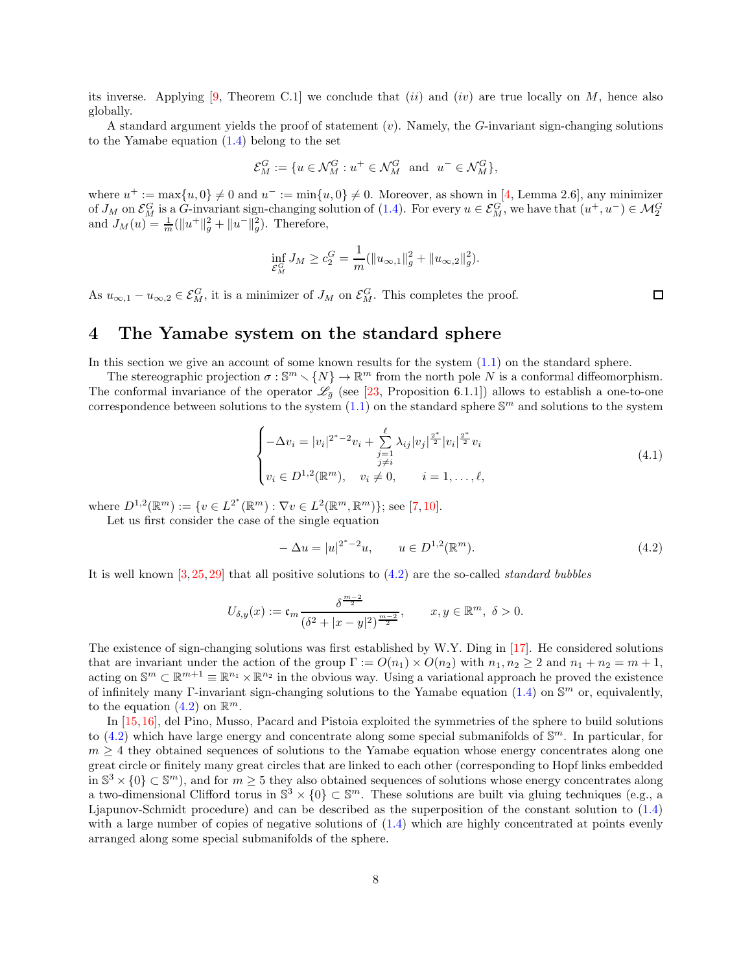its inverse. Applying [\[9,](#page-10-0) Theorem C.1] we conclude that (ii) and (iv) are true locally on M, hence also globally.

A standard argument yields the proof of statement  $(v)$ . Namely, the G-invariant sign-changing solutions to the Yamabe equation  $(1.4)$  belong to the set

$$
\mathcal{E}_M^G := \{ u \in \mathcal{N}_M^G : u^+ \in \mathcal{N}_M^G \text{ and } u^- \in \mathcal{N}_M^G \},
$$

where  $u^+ := \max\{u, 0\} \neq 0$  and  $u^- := \min\{u, 0\} \neq 0$ . Moreover, as shown in [\[4,](#page-9-4) Lemma 2.6], any minimizer of  $J_M$  on  $\mathcal{E}_M^G$  is a G-invariant sign-changing solution of [\(1.4\)](#page-1-1). For every  $u \in \mathcal{E}_M^G$ , we have that  $(u^+, u^-) \in \mathcal{M}_2^G$ <br>and  $J_M(u) = \frac{1}{m} (\|u^+\|_g^2 + \|u^-\|_g^2)$ . Therefore,

$$
\inf_{\mathcal{E}_M^G} J_M \ge c_2^G = \frac{1}{m} (\|u_{\infty,1}\|_g^2 + \|u_{\infty,2}\|_g^2).
$$

As  $u_{\infty,1} - u_{\infty,2} \in \mathcal{E}_M^G$ , it is a minimizer of  $J_M$  on  $\mathcal{E}_M^G$ . This completes the proof.

 $\Box$ 

#### <span id="page-7-0"></span>4 The Yamabe system on the standard sphere

In this section we give an account of some known results for the system  $(1.1)$  on the standard sphere.

The stereographic projection  $\sigma : \mathbb{S}^m \setminus \{N\} \to \mathbb{R}^m$  from the north pole N is a conformal diffeomorphism. The conformal invariance of the operator  $\mathscr{L}_{\bar{g}}$  (see [\[23,](#page-10-8) Proposition 6.1.1]) allows to establish a one-to-one correspondence between solutions to the system  $(1.1)$  on the standard sphere  $\mathbb{S}^m$  and solutions to the system

<span id="page-7-2"></span>
$$
\begin{cases}\n-\Delta v_i = |v_i|^{2^*-2}v_i + \sum_{\substack{j=1 \ j \neq i}}^{\ell} \lambda_{ij} |v_j|^{\frac{2^*}{2}} |v_i|^{\frac{2^*}{2}} v_i \\
v_i \in D^{1,2}(\mathbb{R}^m), \quad v_i \neq 0, \qquad i = 1, \dots, \ell,\n\end{cases} \tag{4.1}
$$

where  $D^{1,2}(\mathbb{R}^m) := \{v \in L^{2^*}(\mathbb{R}^m) : \nabla v \in L^2(\mathbb{R}^m, \mathbb{R}^m)\};$  see [\[7,](#page-9-3) [10\]](#page-10-3).

Let us first consider the case of the single equation

<span id="page-7-1"></span>
$$
-\Delta u = |u|^{2^*-2}u, \qquad u \in D^{1,2}(\mathbb{R}^m). \tag{4.2}
$$

It is well known  $[3, 25, 29]$  $[3, 25, 29]$  $[3, 25, 29]$  $[3, 25, 29]$  that all positive solutions to  $(4.2)$  are the so-called *standard bubbles* 

$$
U_{\delta,y}(x):=\mathfrak{c}_m\frac{\delta^{\frac{m-2}{2}}}{(\delta^2+|x-y|^2)^{\frac{m-2}{2}}},\qquad x,y\in\mathbb{R}^m,\ \delta>0.
$$

The existence of sign-changing solutions was first established by W.Y. Ding in [\[17\]](#page-10-10). He considered solutions that are invariant under the action of the group  $\Gamma := O(n_1) \times O(n_2)$  with  $n_1, n_2 \geq 2$  and  $n_1 + n_2 = m + 1$ . acting on  $\mathbb{S}^m \subset \mathbb{R}^{m+1} \equiv \mathbb{R}^{n_1} \times \mathbb{R}^{n_2}$  in the obvious way. Using a variational approach he proved the existence of infinitely many Γ-invariant sign-changing solutions to the Yamabe equation  $(1.4)$  on  $\mathbb{S}^m$  or, equivalently, to the equation  $(4.2)$  on  $\mathbb{R}^m$ .

In [\[15,](#page-10-11)[16\]](#page-10-12), del Pino, Musso, Pacard and Pistoia exploited the symmetries of the sphere to build solutions to  $(4.2)$  which have large energy and concentrate along some special submanifolds of  $\mathbb{S}^m$ . In particular, for  $m \geq 4$  they obtained sequences of solutions to the Yamabe equation whose energy concentrates along one great circle or finitely many great circles that are linked to each other (corresponding to Hopf links embedded in  $\mathbb{S}^3 \times \{0\} \subset \mathbb{S}^m$ , and for  $m \geq 5$  they also obtained sequences of solutions whose energy concentrates along a two-dimensional Clifford torus in  $\mathbb{S}^3 \times \{0\} \subset \mathbb{S}^m$ . These solutions are built via gluing techniques (e.g., a Ljapunov-Schmidt procedure) and can be described as the superposition of the constant solution to [\(1.4\)](#page-1-1) with a large number of copies of negative solutions of  $(1.4)$  which are highly concentrated at points evenly arranged along some special submanifolds of the sphere.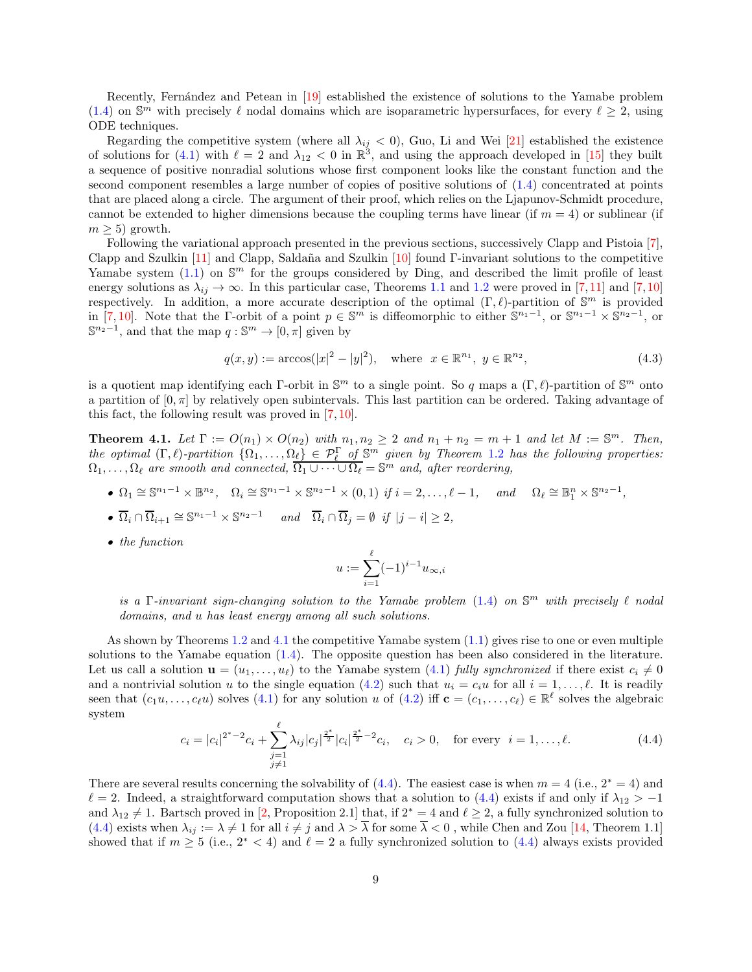Recently, Fernández and Petean in [\[19\]](#page-10-13) established the existence of solutions to the Yamabe problem [\(1.4\)](#page-1-1) on  $\mathbb{S}^m$  with precisely  $\ell$  nodal domains which are isoparametric hypersurfaces, for every  $\ell \geq 2$ , using ODE techniques.

Regarding the competitive system (where all  $\lambda_{ij} < 0$ ), Guo, Li and Wei [\[21\]](#page-10-14) established the existence of solutions for [\(4.1\)](#page-7-2) with  $\ell = 2$  and  $\lambda_{12} < 0$  in  $\mathbb{R}^3$ , and using the approach developed in [\[15\]](#page-10-11) they built a sequence of positive nonradial solutions whose first component looks like the constant function and the second component resembles a large number of copies of positive solutions of [\(1.4\)](#page-1-1) concentrated at points that are placed along a circle. The argument of their proof, which relies on the Ljapunov-Schmidt procedure, cannot be extended to higher dimensions because the coupling terms have linear (if  $m = 4$ ) or sublinear (if  $m > 5$ ) growth.

Following the variational approach presented in the previous sections, successively Clapp and Pistoia [\[7\]](#page-9-3), Clapp and Szulkin [\[11\]](#page-10-6) and Clapp, Saldaña and Szulkin [\[10\]](#page-10-3) found Γ-invariant solutions to the competitive Yamabe system  $(1.1)$  on  $\mathbb{S}^m$  for the groups considered by Ding, and described the limit profile of least energy solutions as  $\lambda_{ij} \to \infty$ . In this particular case, Theorems [1.1](#page-1-3) and [1.2](#page-1-2) were proved in [\[7,](#page-9-3)[11\]](#page-10-6) and [7,[10\]](#page-10-3) respectively. In addition, a more accurate description of the optimal  $(\Gamma, \ell)$ -partition of  $\mathbb{S}^m$  is provided in [\[7,](#page-9-3) [10\]](#page-10-3). Note that the Γ-orbit of a point  $p \in \mathbb{S}^m$  is diffeomorphic to either  $\mathbb{S}^{n_1-1}$ , or  $\mathbb{S}^{n_1-1} \times \mathbb{S}^{n_2-1}$ , or  $\mathbb{S}^{n_2-1}$ , and that the map  $q: \mathbb{S}^m \to [0, \pi]$  given by

$$
q(x, y) := \arccos(|x|^2 - |y|^2), \quad \text{where} \ \ x \in \mathbb{R}^{n_1}, \ y \in \mathbb{R}^{n_2}, \tag{4.3}
$$

is a quotient map identifying each Γ-orbit in  $\mathbb{S}^m$  to a single point. So q maps a  $(\Gamma, \ell)$ -partition of  $\mathbb{S}^m$  onto a partition of  $[0, \pi]$  by relatively open subintervals. This last partition can be ordered. Taking advantage of this fact, the following result was proved in [\[7,](#page-9-3) [10\]](#page-10-3).

<span id="page-8-0"></span>**Theorem 4.1.** Let  $\Gamma := O(n_1) \times O(n_2)$  with  $n_1, n_2 \geq 2$  and  $n_1 + n_2 = m + 1$  and let  $M := \mathbb{S}^m$ . Then, the optimal  $(\Gamma, \ell)$ -partition  $\{\Omega_1, \ldots, \Omega_\ell\} \in \mathcal{P}_\ell^{\Gamma}$  of  $\mathbb{S}^m$  given by Theorem [1.2](#page-1-2) has the following properties:  $\Omega_1, \ldots, \Omega_\ell$  are smooth and connected,  $\overline{\Omega_1 \cup \cdots \cup \Omega_\ell} = \mathbb{S}^m$  and, after reordering,

•  $\Omega_1 \cong \mathbb{S}^{n_1-1} \times \mathbb{B}^{n_2}$ ,  $\Omega_i \cong \mathbb{S}^{n_1-1} \times \mathbb{S}^{n_2-1} \times (0,1)$  if  $i = 2, ..., \ell - 1$ , and  $\Omega_\ell \cong \mathbb{B}^n_1 \times \mathbb{S}^{n_2-1}$ ,

• 
$$
\overline{\Omega}_i \cap \overline{\Omega}_{i+1} \cong \mathbb{S}^{n_1-1} \times \mathbb{S}^{n_2-1}
$$
 and  $\overline{\Omega}_i \cap \overline{\Omega}_j = \emptyset$  if  $|j - i| \ge 2$ ,

• the function

$$
u:=\sum_{i=1}^\ell (-1)^{i-1}u_{\infty,i}
$$

is a  $\Gamma$ -invariant sign-changing solution to the Yamabe problem [\(1.4\)](#page-1-1) on  $\mathbb{S}^m$  with precisely  $\ell$  nodal domains, and u has least energy among all such solutions.

As shown by Theorems [1.2](#page-1-2) and [4.1](#page-8-0) the competitive Yamabe system [\(1.1\)](#page-0-0) gives rise to one or even multiple solutions to the Yamabe equation [\(1.4\)](#page-1-1). The opposite question has been also considered in the literature. Let us call a solution  $\mathbf{u} = (u_1, \ldots, u_\ell)$  to the Yamabe system [\(4.1\)](#page-7-2) fully synchronized if there exist  $c_i \neq 0$ and a nontrivial solution u to the single equation [\(4.2\)](#page-7-1) such that  $u_i = c_i u$  for all  $i = 1, \ldots, \ell$ . It is readily seen that  $(c_1u, \ldots, c_\ell u)$  solves  $(4.1)$  for any solution u of  $(4.2)$  iff  $\mathbf{c} = (c_1, \ldots, c_\ell) \in \mathbb{R}^\ell$  solves the algebraic system

<span id="page-8-1"></span>
$$
c_i = |c_i|^{2^*-2}c_i + \sum_{\substack{j=1 \ j \neq 1}}^{\ell} \lambda_{ij} |c_j|^{\frac{2^*}{2}} |c_i|^{\frac{2^*}{2}-2}c_i, \quad c_i > 0, \quad \text{for every} \quad i = 1, \dots, \ell. \tag{4.4}
$$

There are several results concerning the solvability of  $(4.4)$ . The easiest case is when  $m = 4$  (i.e.,  $2^* = 4$ ) and  $\ell = 2$ . Indeed, a straightforward computation shows that a solution to [\(4.4\)](#page-8-1) exists if and only if  $\lambda_{12} > -1$ and  $\lambda_{12} \neq 1$ . Bartsch proved in [\[2,](#page-9-6) Proposition 2.1] that, if  $2^* = 4$  and  $\ell \geq 2$ , a fully synchronized solution to  $(4.4)$  exists when  $\lambda_{ij} := \lambda \neq 1$  for all  $i \neq j$  and  $\lambda > \overline{\lambda}$  for some  $\overline{\lambda} < 0$ , while Chen and Zou [\[14,](#page-10-15) Theorem 1.1] showed that if  $m \geq 5$  (i.e.,  $2^* < 4$ ) and  $\ell = 2$  a fully synchronized solution to [\(4.4\)](#page-8-1) always exists provided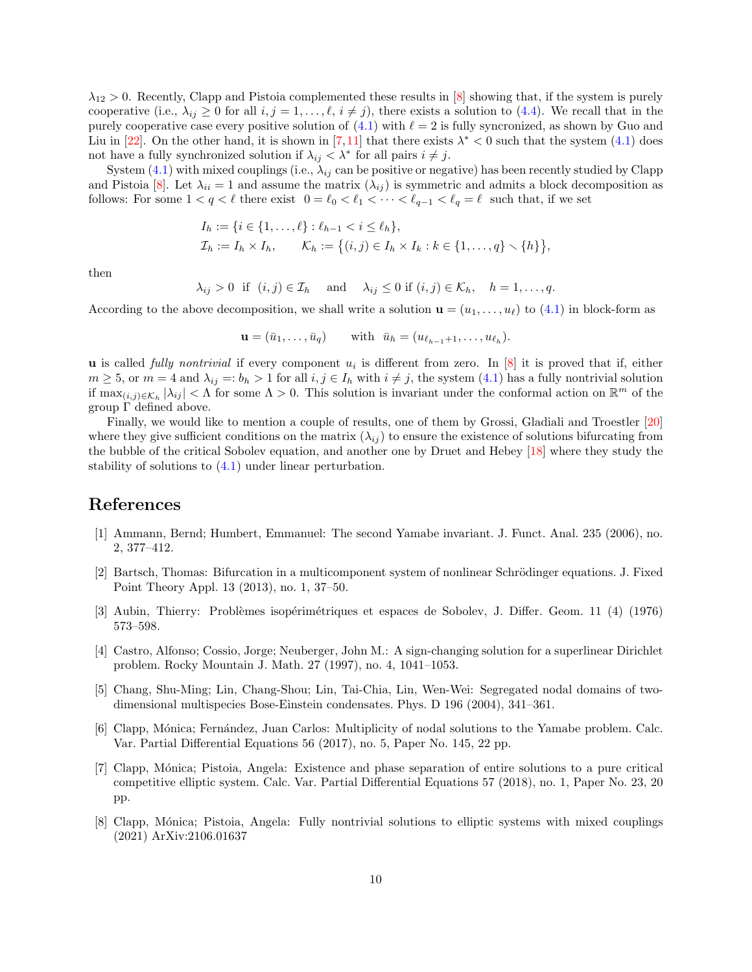$\lambda_{12} > 0$ . Recently, Clapp and Pistoia complemented these results in [\[8\]](#page-9-7) showing that, if the system is purely cooperative (i.e.,  $\lambda_{ij} \geq 0$  for all  $i, j = 1, \ldots, \ell, i \neq j$ ), there exists a solution to [\(4.4\)](#page-8-1). We recall that in the purely cooperative case every positive solution of  $(4.1)$  with  $\ell = 2$  is fully syncronized, as shown by Guo and Liu in [\[22\]](#page-10-16). On the other hand, it is shown in [\[7,](#page-9-3)[11\]](#page-10-6) that there exists  $\lambda^* < 0$  such that the system [\(4.1\)](#page-7-2) does not have a fully synchronized solution if  $\lambda_{ij} < \lambda^*$  for all pairs  $i \neq j$ .

System  $(4.1)$  with mixed couplings (i.e.,  $\lambda_{ij}$  can be positive or negative) has been recently studied by Clapp and Pistoia [\[8\]](#page-9-7). Let  $\lambda_{ii} = 1$  and assume the matrix  $(\lambda_{ii})$  is symmetric and admits a block decomposition as follows: For some  $1 < q < \ell$  there exist  $0 = \ell_0 < \ell_1 < \cdots < \ell_{q-1} < \ell_q = \ell$  such that, if we set

$$
I_h := \{ i \in \{1, ..., \ell\} : \ell_{h-1} < i \leq \ell_h \},
$$
\n
$$
\mathcal{I}_h := I_h \times I_h, \qquad \mathcal{K}_h := \{ (i, j) \in I_h \times I_k : k \in \{1, ..., q\} \setminus \{h\} \},
$$

then

 $\lambda_{ij} > 0$  if  $(i, j) \in \mathcal{I}_h$  and  $\lambda_{ij} \leq 0$  if  $(i, j) \in \mathcal{K}_h$ ,  $h = 1, \ldots, q$ .

According to the above decomposition, we shall write a solution  $\mathbf{u} = (u_1, \dots, u_\ell)$  to [\(4.1\)](#page-7-2) in block-form as

 $\mathbf{u} = (\bar{u}_1, \dots, \bar{u}_q)$  with  $\bar{u}_h = (u_{\ell_{h-1}+1}, \dots, u_{\ell_h}).$ 

**u** is called *fully nontrivial* if every component  $u_i$  is different from zero. In [\[8\]](#page-9-7) it is proved that if, either  $m \geq 5$ , or  $m = 4$  and  $\lambda_{ij} =: b_h > 1$  for all  $i, j \in I_h$  with  $i \neq j$ , the system  $(4.1)$  has a fully nontrivial solution if  $\max_{(i,j)\in\mathcal{K}_h} |\lambda_{ij}| < \Lambda$  for some  $\Lambda > 0$ . This solution is invariant under the conformal action on  $\mathbb{R}^m$  of the group Γ defined above.

Finally, we would like to mention a couple of results, one of them by Grossi, Gladiali and Troestler [\[20\]](#page-10-17) where they give sufficient conditions on the matrix  $(\lambda_{ij})$  to ensure the existence of solutions bifurcating from the bubble of the critical Sobolev equation, and another one by Druet and Hebey [\[18\]](#page-10-18) where they study the stability of solutions to [\(4.1\)](#page-7-2) under linear perturbation.

## <span id="page-9-1"></span>References

- <span id="page-9-6"></span>[1] Ammann, Bernd; Humbert, Emmanuel: The second Yamabe invariant. J. Funct. Anal. 235 (2006), no. 2, 377–412.
- [2] Bartsch, Thomas: Bifurcation in a multicomponent system of nonlinear Schrödinger equations. J. Fixed Point Theory Appl. 13 (2013), no. 1, 37–50.
- <span id="page-9-5"></span><span id="page-9-4"></span>[3] Aubin, Thierry: Probl`emes isop´erim´etriques et espaces de Sobolev, J. Differ. Geom. 11 (4) (1976) 573–598.
- [4] Castro, Alfonso; Cossio, Jorge; Neuberger, John M.: A sign-changing solution for a superlinear Dirichlet problem. Rocky Mountain J. Math. 27 (1997), no. 4, 1041–1053.
- <span id="page-9-0"></span>[5] Chang, Shu-Ming; Lin, Chang-Shou; Lin, Tai-Chia, Lin, Wen-Wei: Segregated nodal domains of twodimensional multispecies Bose-Einstein condensates. Phys. D 196 (2004), 341–361.
- <span id="page-9-2"></span>[6] Clapp, Mónica; Fernández, Juan Carlos: Multiplicity of nodal solutions to the Yamabe problem. Calc. Var. Partial Differential Equations 56 (2017), no. 5, Paper No. 145, 22 pp.
- <span id="page-9-3"></span>[7] Clapp, M´onica; Pistoia, Angela: Existence and phase separation of entire solutions to a pure critical competitive elliptic system. Calc. Var. Partial Differential Equations 57 (2018), no. 1, Paper No. 23, 20 pp.
- <span id="page-9-7"></span>[8] Clapp, M´onica; Pistoia, Angela: Fully nontrivial solutions to elliptic systems with mixed couplings (2021) ArXiv:2106.01637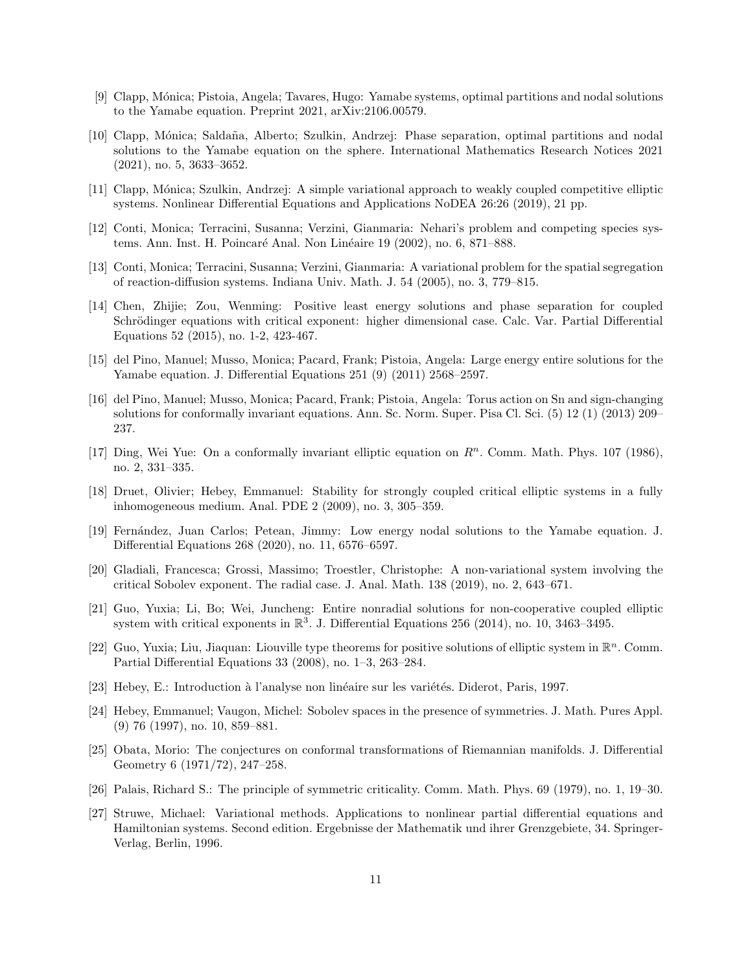- <span id="page-10-3"></span><span id="page-10-0"></span>[9] Clapp, M´onica; Pistoia, Angela; Tavares, Hugo: Yamabe systems, optimal partitions and nodal solutions to the Yamabe equation. Preprint 2021, arXiv:2106.00579.
- [10] Clapp, Mónica; Saldaña, Alberto; Szulkin, Andrzej: Phase separation, optimal partitions and nodal solutions to the Yamabe equation on the sphere. International Mathematics Research Notices 2021 (2021), no. 5, 3633–3652.
- <span id="page-10-6"></span><span id="page-10-1"></span>[11] Clapp, Mónica; Szulkin, Andrzej: A simple variational approach to weakly coupled competitive elliptic systems. Nonlinear Differential Equations and Applications NoDEA 26:26 (2019), 21 pp.
- <span id="page-10-2"></span>[12] Conti, Monica; Terracini, Susanna; Verzini, Gianmaria: Nehari's problem and competing species systems. Ann. Inst. H. Poincaré Anal. Non Linéaire 19 (2002), no. 6, 871–888.
- <span id="page-10-15"></span>[13] Conti, Monica; Terracini, Susanna; Verzini, Gianmaria: A variational problem for the spatial segregation of reaction-diffusion systems. Indiana Univ. Math. J. 54 (2005), no. 3, 779–815.
- [14] Chen, Zhijie; Zou, Wenming: Positive least energy solutions and phase separation for coupled Schrödinger equations with critical exponent: higher dimensional case. Calc. Var. Partial Differential Equations 52 (2015), no. 1-2, 423-467.
- <span id="page-10-11"></span>[15] del Pino, Manuel; Musso, Monica; Pacard, Frank; Pistoia, Angela: Large energy entire solutions for the Yamabe equation. J. Differential Equations 251 (9) (2011) 2568–2597.
- <span id="page-10-12"></span>[16] del Pino, Manuel; Musso, Monica; Pacard, Frank; Pistoia, Angela: Torus action on Sn and sign-changing solutions for conformally invariant equations. Ann. Sc. Norm. Super. Pisa Cl. Sci. (5) 12 (1) (2013) 209– 237.
- <span id="page-10-10"></span>[17] Ding, Wei Yue: On a conformally invariant elliptic equation on  $\mathbb{R}^n$ . Comm. Math. Phys. 107 (1986), no. 2, 331–335.
- <span id="page-10-18"></span>[18] Druet, Olivier; Hebey, Emmanuel: Stability for strongly coupled critical elliptic systems in a fully inhomogeneous medium. Anal. PDE 2 (2009), no. 3, 305–359.
- <span id="page-10-13"></span>[19] Fern´andez, Juan Carlos; Petean, Jimmy: Low energy nodal solutions to the Yamabe equation. J. Differential Equations 268 (2020), no. 11, 6576–6597.
- <span id="page-10-17"></span>[20] Gladiali, Francesca; Grossi, Massimo; Troestler, Christophe: A non-variational system involving the critical Sobolev exponent. The radial case. J. Anal. Math. 138 (2019), no. 2, 643–671.
- <span id="page-10-14"></span>[21] Guo, Yuxia; Li, Bo; Wei, Juncheng: Entire nonradial solutions for non-cooperative coupled elliptic system with critical exponents in  $\mathbb{R}^3$ . J. Differential Equations 256 (2014), no. 10, 3463-3495.
- <span id="page-10-16"></span>[22] Guo, Yuxia; Liu, Jiaquan: Liouville type theorems for positive solutions of elliptic system in  $\mathbb{R}^n$ . Comm. Partial Differential Equations 33 (2008), no. 1–3, 263–284.
- <span id="page-10-8"></span><span id="page-10-4"></span>[23] Hebey, E.: Introduction à l'analyse non linéaire sur les variétés. Diderot, Paris, 1997.
- [24] Hebey, Emmanuel; Vaugon, Michel: Sobolev spaces in the presence of symmetries. J. Math. Pures Appl. (9) 76 (1997), no. 10, 859–881.
- <span id="page-10-9"></span>[25] Obata, Morio: The conjectures on conformal transformations of Riemannian manifolds. J. Differential Geometry 6 (1971/72), 247–258.
- <span id="page-10-7"></span><span id="page-10-5"></span>[26] Palais, Richard S.: The principle of symmetric criticality. Comm. Math. Phys. 69 (1979), no. 1, 19–30.
- [27] Struwe, Michael: Variational methods. Applications to nonlinear partial differential equations and Hamiltonian systems. Second edition. Ergebnisse der Mathematik und ihrer Grenzgebiete, 34. Springer-Verlag, Berlin, 1996.